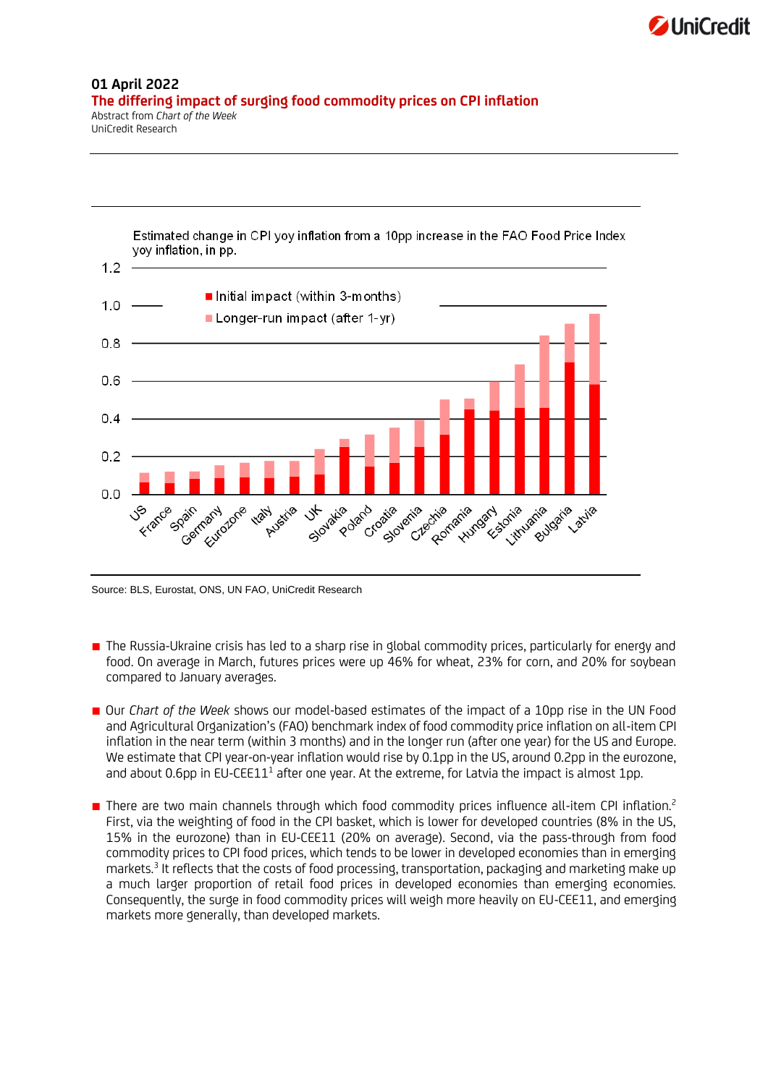

## **01 April 2022 The differing impact of surging food commodity prices on CPI inflation** Abstract from *Chart of the Week*

UniCredit Research

Estimated change in CPI yoy inflation from a 10pp increase in the FAO Food Price Index yoy inflation, in pp.



Source: BLS, Eurostat, ONS, UN FAO, UniCredit Research

- The Russia-Ukraine crisis has led to a sharp rise in global commodity prices, particularly for energy and food. On average in March, futures prices were up 46% for wheat, 23% for corn, and 20% for soybean compared to January averages.
- Our *Chart of the Week* shows our model-based estimates of the impact of a 10pp rise in the UN Food and Agricultural Organization's (FAO) benchmark index of food commodity price inflation on all-item CPI inflation in the near term (within 3 months) and in the longer run (after one year) for the US and Europe. We estimate that CPI year-on-year inflation would rise by 0.1pp in the US, around 0.2pp in the eurozone, and about 0.6pp in EU-CEE11<sup>1</sup> after one year. At the extreme, for Latvia the impact is almost 1pp.
- There are two main channels through which food commodity prices influence all-item CPI inflation.<sup>2</sup> First, via the weighting of food in the CPI basket, which is lower for developed countries (8% in the US, 15% in the eurozone) than in EU-CEE11 (20% on average). Second, via the pass-through from food commodity prices to CPI food prices, which tends to be lower in developed economies than in emerging markets.<sup>3</sup> It reflects that the costs of food processing, transportation, packaging and marketing make up a much larger proportion of retail food prices in developed economies than emerging economies. Consequently, the surge in food commodity prices will weigh more heavily on EU-CEE11, and emerging markets more generally, than developed markets.